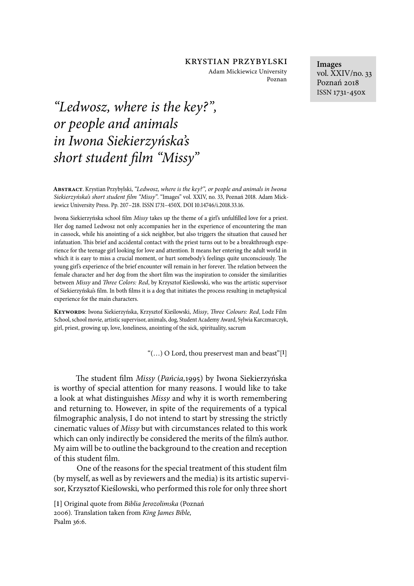Adam Mickiewicz University Poznan

**Images** vol. XXIV/no. 33 Poznań 2018 ISSN 1731-450x

# *"Ledwosz, where is the key?", or people and animals in Iwona Siekierzy*ń*ska's*   $short$  student film "Missy"

**Abstract**. Krystian Przybylski, *"Ledwosz, where is the key?", or people and animals in Iwona*   $Siekierzyńska's short student film "Missy". "Images" vol. XXIV, no. 33, Poznań 2018. Adam Mick$ iewicz University Press. Pp. 207-218. ISSN 1731-450X. DOI 10.14746/i.2018.33.16.

Iwona Siekierzyńska school +lm *Missy* takes up the theme of a girl's unful+lled love for a priest. Her dog named Ledwosz not only accompanies her in the experience of encountering the man in cassock, while his anointing of a sick neighbor, but also triggers the situation that caused her infatuation. This brief and accidental contact with the priest turns out to be a breakthrough experience for the teenage girl looking for love and attention. It means her entering the adult world in which it is easy to miss a crucial moment, or hurt somebody's feelings quite unconsciously. The young girl's experience of the brief encounter will remain in her forever. The relation between the female character and her dog from the short film was the inspiration to consider the similarities between *Missy* and \$*ree Colors: Red*, by Krzysztof Kieślowski, who was the artistic supervisor of Siekierzyńska's film. In both films it is a dog that initiates the process resulting in metaphysical experience for the main characters.

**Keywords**: Iwona Siekierzyńska, Krzysztof Kieślowski, *Missy*, \$*ree Colours: Red*, Lodz Film School, school movie, artistic supervisor, animals, dog, Student Academy Award, Sylwia Karczmarczyk, girl, priest, growing up, love, loneliness, anointing of the sick, spirituality, sacrum

"(…) O Lord, thou preservest man and beast"[**1**]

6e student 7lm *Missy* (*Pa*ń*cia,*1995) by Iwona Siekierzyńska is worthy of special attention for many reasons. I would like to take a look at what distinguishes *Missy* and why it is worth remembering and returning to. However, in spite of the requirements of a typical filmographic analysis, I do not intend to start by stressing the strictly cinematic values of *Missy* but with circumstances related to this work which can only indirectly be considered the merits of the film's author. My aim will be to outline the background to the creation and reception of this student 7lm.

One of the reasons for the special treatment of this student film (by myself, as well as by reviewers and the media) is its artistic supervisor, Krzysztof Kieślowski, who performed this role for only three short

**[1]** Original quote from *Biblia Jerozolimska* (Poznań 2006)*.* Translation taken from *King James Bible,* Psalm 36:6.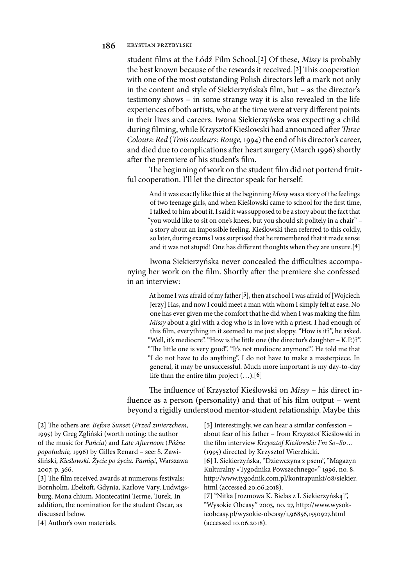student 7lms at the Łódź Film School.[**2**] Of these, *Missy* is probably the best known because of the rewards it received.<sup>[3]</sup> This cooperation with one of the most outstanding Polish directors left a mark not only in the content and style of Siekierzyńska's 7lm, but – as the director's testimony shows – in some strange way it is also revealed in the life experiences of both artists, who at the time were at very different points in their lives and careers. Iwona Siekierzyńska was expecting a child during filming, while Krzysztof Kieślowski had announced after *Three Colours*: *Red* (*Trois couleurs: Rouge,* 1994) the end of his director's career, and died due to complications after heart surgery (March 1996) shortly after the premiere of his student's film.

The beginning of work on the student film did not portend fruitful cooperation. I'll let the director speak for herself:

And it was exactly like this: at the beginning *Missy* was a story of the feelings of two teenage girls, and when Kieślowski came to school for the first time, I talked to him about it. I said it was supposed to be a story about the fact that "you would like to sit on one's knees, but you should sit politely in a chair" – a story about an impossible feeling. Kieślowski then referred to this coldly, so later, during exams I was surprised that he remembered that it made sense and it was not stupid! One has different thoughts when they are unsure.<sup>[4]</sup>

Iwona Siekierzyńska never concealed the difficulties accompanying her work on the film. Shortly after the premiere she confessed in an interview:

At home I was afraid of my father[**5**], then at school I was afraid of [Wojciech Jerzy] Has, and now I could meet a man with whom I simply felt at ease. No one has ever given me the comfort that he did when I was making the film *Missy* about a girl with a dog who is in love with a priest. I had enough of this film, everything in it seemed to me just sloppy. "How is it?", he asked. "Well, it's mediocre". "How is the little one (the director's daughter – K.P.)?". "The little one is very good". "It's not mediocre anymore!". He told me that "I do not have to do anything". I do not have to make a masterpiece. In general, it may be unsuccessful. Much more important is my day-to-day life than the entire 7lm project (…).[**6**]

The influence of Krzysztof Kieślowski on *Missy* – his direct influence as a person (personality) and that of his film output – went beyond a rigidly understood mentor-student relationship. Maybe this

[2] The others are: *Before Sunset (Przed zmierzchem,* 1995) by Greg Zgliński (worth noting: the author of the music for *Pa*ń*cia*) and *Late A*%*ernoon* (*Pó*ź*ne popo*ł*udnie,* 1996) by Gilles Renard – see: S. Zawiśliński, *Kie*ś*lowski.* Ż*ycie po* ż*yciu. Pami*ęć, Warszawa 2007, p. 366.

[3] The film received awards at numerous festivals: Bornholm, Ebeltoft, Gdynia, Karlove Vary, Ludwigsburg, Mona chium, Montecatini Terme, Turek. In addition, the nomination for the student Oscar, as discussed below.

**[4]** Author's own materials.

**[5]** Interestingly, we can hear a similar confession – about fear of his father – from Krzysztof Kieślowski in the 7lm interview *Krzysztof Kie*ś*lowski: I'm So–So*… (1995) directed by Krzysztof Wierzbicki.

**[6]** I. Siekierzyńska, "Dziewczyna z psem", "Magazyn Kulturalny »Tygodnika Powszechnego«" 1996, no. 8, http://www.tygodnik.com.pl/kontrapunkt/08/siekier. html (accessed 20.06.2018).

**[7]** "Nitka [rozmowa K. Bielas z I. Siekierzyńską]", "Wysokie Obcasy" 2003, no. 27, http://www.wysokieobcasy.pl/wysokie-obcasy/1,96856,1550927.html (accessed 10.06.2018).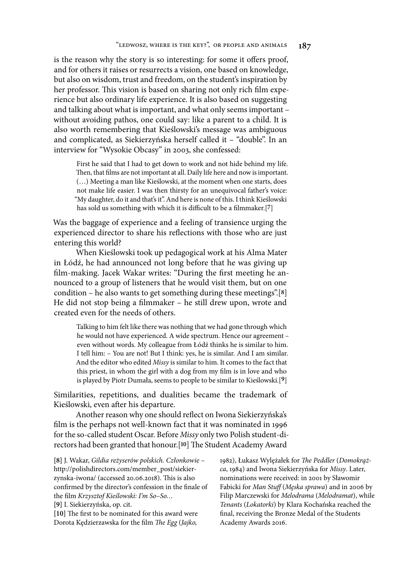is the reason why the story is so interesting: for some it offers proof, and for others it raises or resurrects a vision, one based on knowledge, but also on wisdom, trust and freedom, on the student's inspiration by her professor. This vision is based on sharing not only rich film experience but also ordinary life experience. It is also based on suggesting and talking about what is important, and what only seems important – without avoiding pathos, one could say: like a parent to a child. It is also worth remembering that Kieślowski's message was ambiguous and complicated, as Siekierzyńska herself called it – "double". In an interview for "Wysokie Obcasy" in 2003, she confessed:

First he said that I had to get down to work and not hide behind my life. Then, that films are not important at all. Daily life here and now is important. (…) Meeting a man like Kieślowski, at the moment when one starts, does not make life easier. I was then thirsty for an unequivocal father's voice: "My daughter, do it and that's it". And here is none of this. I think Kieślowski has sold us something with which it is difficult to be a filmmaker.<sup>[7]</sup>

Was the baggage of experience and a feeling of transience urging the experienced director to share his reflections with those who are just entering this world?

When Kieślowski took up pedagogical work at his Alma Mater in Łódź, he had announced not long before that he was giving up film-making. Jacek Wakar writes: "During the first meeting he announced to a group of listeners that he would visit them, but on one condition – he also wants to get something during these meetings".[**8**] He did not stop being a filmmaker – he still drew upon, wrote and created even for the needs of others.

Talking to him felt like there was nothing that we had gone through which he would not have experienced. A wide spectrum. Hence our agreement – even without words. My colleague from Łódź thinks he is similar to him. I tell him: – You are not! But I think: yes, he is similar. And I am similar. And the editor who edited *Missy* is similar to him. It comes to the fact that this priest, in whom the girl with a dog from my film is in love and who is played by Piotr Dumała, seems to people to be similar to Kieślowski.[**9**]

Similarities, repetitions, and dualities became the trademark of Kieślowski, even after his departure.

Another reason why one should reflect on Iwona Siekierzyńska's film is the perhaps not well-known fact that it was nominated in 1996 for the so-called student Oscar. Before *Missy* only two Polish student-directors had been granted that honour.<sup>[10]</sup> The Student Academy Award

**[8]** J. Wakar, *Gildia re*ż*yserów polskich. Cz*ł*onkowie* – http://polishdirectors.com/member\_post/siekierzynska-iwona/ (accessed 20.06.2018). This is also confirmed by the director's confession in the finale of the 7lm *Krzysztof Kie*ś*lowski: I'm So–So…*

**[9]** I. Siekierzyńska, op. cit.

[10] The first to be nominated for this award were Dorota Kędzierzawska for the film *The Egg* (*Jajko*,

1982), Łukasz Wylężałek for \$*e Peddler* (*Domokr*ąż*ca*, 1984) and Iwona Siekierzyńska for *Missy*. Later, nominations were received: in 2001 by Sławomir Fabicki for *Man Stuff* (Męska sprawa) and in 2006 by Filip Marczewski for *Melodrama* (*Melodramat*), while *Tenants* (*Lokatorki*) by Klara Kochańska reached the final, receiving the Bronze Medal of the Students Academy Awards 2016.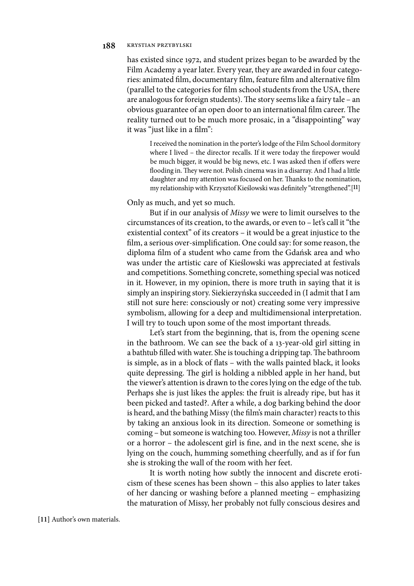has existed since 1972, and student prizes began to be awarded by the Film Academy a year later. Every year, they are awarded in four categories: animated film, documentary film, feature film and alternative film (parallel to the categories for 7lm school students from the USA, there are analogous for foreign students). The story seems like a fairy tale – an obvious guarantee of an open door to an international film career. The reality turned out to be much more prosaic, in a "disappointing" way it was "just like in a film":

I received the nomination in the porter's lodge of the Film School dormitory where I lived – the director recalls. If it were today the firepower would be much bigger, it would be big news, etc. I was asked then if offers were flooding in. They were not. Polish cinema was in a disarray. And I had a little daughter and my attention was focused on her. Thanks to the nomination, my relationship with Krzysztof Kieślowski was definitely "strengthened".[11]

Only as much, and yet so much.

But if in our analysis of *Missy* we were to limit ourselves to the circumstances of its creation, to the awards, or even to – let's call it "the existential context" of its creators – it would be a great injustice to the film, a serious over-simplification. One could say: for some reason, the diploma film of a student who came from the Gdańsk area and who was under the artistic care of Kieślowski was appreciated at festivals and competitions. Something concrete, something special was noticed in it. However, in my opinion, there is more truth in saying that it is simply an inspiring story. Siekierzyńska succeeded in (I admit that I am still not sure here: consciously or not) creating some very impressive symbolism, allowing for a deep and multidimensional interpretation. I will try to touch upon some of the most important threads.

Let's start from the beginning, that is, from the opening scene in the bathroom. We can see the back of a 13-year-old girl sitting in a bathtub filled with water. She is touching a dripping tap. The bathroom is simple, as in a block of flats – with the walls painted black, it looks quite depressing. The girl is holding a nibbled apple in her hand, but the viewer's attention is drawn to the cores lying on the edge of the tub. Perhaps she is just likes the apples: the fruit is already ripe, but has it been picked and tasted?. After a while, a dog barking behind the door is heard, and the bathing Missy (the film's main character) reacts to this by taking an anxious look in its direction. Someone or something is coming – but someone is watching too. However, *Missy* is not a thriller or a horror – the adolescent girl is fine, and in the next scene, she is lying on the couch, humming something cheerfully, and as if for fun she is stroking the wall of the room with her feet.

It is worth noting how subtly the innocent and discrete eroticism of these scenes has been shown – this also applies to later takes of her dancing or washing before a planned meeting – emphasizing the maturation of Missy, her probably not fully conscious desires and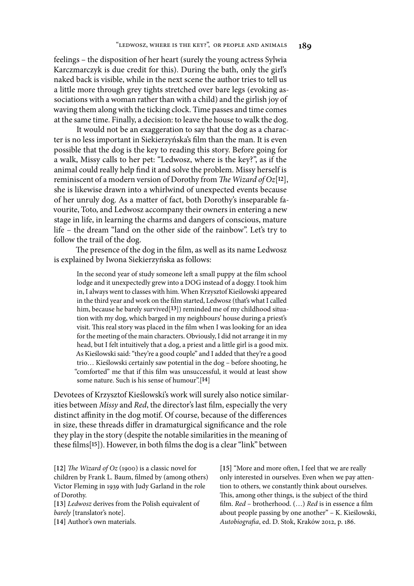feelings – the disposition of her heart (surely the young actress Sylwia Karczmarczyk is due credit for this). During the bath, only the girl's naked back is visible, while in the next scene the author tries to tell us a little more through grey tights stretched over bare legs (evoking associations with a woman rather than with a child) and the girlish joy of waving them along with the ticking clock. Time passes and time comes at the same time. Finally, a decision: to leave the house to walk the dog.

It would not be an exaggeration to say that the dog as a character is no less important in Siekierzyńska's 7lm than the man. It is even possible that the dog is the key to reading this story. Before going for a walk, Missy calls to her pet: "Ledwosz, where is the key?", as if the animal could really help find it and solve the problem. Missy herself is reminiscent of a modern version of Dorothy from *The Wizard of Oz*[12], she is likewise drawn into a whirlwind of unexpected events because of her unruly dog. As a matter of fact, both Dorothy's inseparable favourite, Toto, and Ledwosz accompany their owners in entering a new stage in life, in learning the charms and dangers of conscious, mature life – the dream "land on the other side of the rainbow". Let's try to follow the trail of the dog.

The presence of the dog in the film, as well as its name Ledwosz is explained by Iwona Siekierzyńska as follows:

In the second year of study someone left a small puppy at the film school lodge and it unexpectedly grew into a DOG instead of a doggy. I took him in, I always went to classes with him. When Krzysztof Kieślowski appeared in the third year and work on the film started, Ledwosz (that's what I called him, because he barely survived<sup>[13]</sup>) reminded me of my childhood situation with my dog, which barged in my neighbours' house during a priest's visit. This real story was placed in the film when I was looking for an idea for the meeting of the main characters. Obviously, I did not arrange it in my head, but I felt intuitively that a dog, a priest and a little girl is a good mix. As Kieślowski said: "they're a good couple" and I added that they're a good trio… Kieślowski certainly saw potential in the dog – before shooting, he "comforted" me that if this 7lm was unsuccessful, it would at least show some nature. Such is his sense of humour".[**14**]

Devotees of Krzysztof Kieślowski's work will surely also notice similarities between *Missy* and *Red*, the director's last film, especially the very distinct affinity in the dog motif. Of course, because of the differences in size, these threads differ in dramaturgical significance and the role they play in the story (despite the notable similarities in the meaning of these films<sup>[15]</sup>). However, in both films the dog is a clear "link" between

[12] *The Wizard of Oz* (1900) is a classic novel for children by Frank L. Baum, filmed by (among others) Victor Fleming in 1939 with Judy Garland in the role of Dorothy.

**[13]** *Ledwosz* derives from the Polish equivalent of *barely* [translator's note].

**[14]** Author's own materials.

[15] "More and more often, I feel that we are really only interested in ourselves. Even when we pay attention to others, we constantly think about ourselves. This, among other things, is the subject of the third film. *Red* – brotherhood. (...) *Red* is in essence a film about people passing by one another" – K. Kieślowski, *Autobiogra*#*a*, ed. D. Stok, Kraków 2012, p. 186.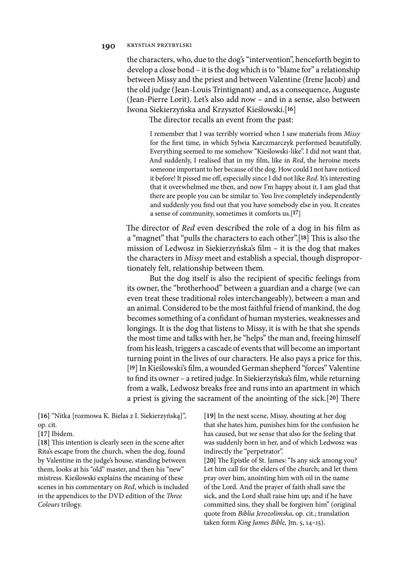the characters, who, due to the dog's "intervention", henceforth begin to develop a close bond – it is the dog which is to "blame for" a relationship between Missy and the priest and between Valentine (Irene Jacob) and the old judge (Jean-Louis Trintignant) and, as a consequence, Auguste (Jean-Pierre Lorit). Let's also add now – and in a sense, also between Iwona Siekierzyńska and Krzysztof Kieślowski.[**16**]

The director recalls an event from the past:

I remember that I was terribly worried when I saw materials from *Missy* for the first time, in which Sylwia Karczmarczyk performed beautifully. Everything seemed to me somehow "Kieślowski-like". I did not want that. And suddenly, I realised that in my film, like in *Red*, the heroine meets someone important to her because of the dog. How could I not have noticed it before! It pissed me off, especially since I did not like *Red*. It's interesting that it overwhelmed me then, and now I'm happy about it. I am glad that there are people you can be similar to. You live completely independently and suddenly you find out that you have somebody else in you. It creates a sense of community, sometimes it comforts us.[**17**]

The director of *Red* even described the role of a dog in his film as a "magnet" that "pulls the characters to each other".<sup>[18]</sup> This is also the mission of Ledwosz in Siekierzyńska's 7lm – it is the dog that makes the characters in *Missy* meet and establish a special, though disproportionately felt, relationship between them.

But the dog itself is also the recipient of specific feelings from its owner, the "brotherhood" between a guardian and a charge (we can even treat these traditional roles interchangeably), between a man and an animal. Considered to be the most faithful friend of mankind, the dog becomes something of a confidant of human mysteries, weaknesses and longings. It is the dog that listens to Missy, it is with he that she spends the most time and talks with her, he "helps" the man and, freeing himself from his leash, triggers a cascade of events that will become an important turning point in the lives of our characters. He also pays a price for this. [**19**] In Kieślowski's 7lm, a wounded German shepherd "forces" Valentine to find its owner – a retired judge. In Siekierzyńska's film, while returning from a walk, Ledwosz breaks free and runs into an apartment in which a priest is giving the sacrament of the anointing of the sick.<sup>[20]</sup> There

**[16]** "Nitka [rozmowa K. Bielas z I. Siekierzyńską]", op. cit*.*

**[17]** Ibidem.

[18] This intention is clearly seen in the scene after Rita's escape from the church, when the dog, found by Valentine in the judge's house, standing between them, looks at his "old" master, and then his "new" mistress. Kieślowski explains the meaning of these scenes in his commentary on *Red*, which is included in the appendices to the DVD edition of the *Three Colours* trilogy.

**[19]** In the next scene, Missy, shouting at her dog that she hates him, punishes him for the confusion he has caused, but we sense that also for the feeling that was suddenly born in her, and of which Ledwosz was indirectly the "perpetrator".

[20] The Epistle of St. James: "Is any sick among you? Let him call for the elders of the church; and let them pray over him, anointing him with oil in the name of the Lord. And the prayer of faith shall save the sick, and the Lord shall raise him up; and if he have committed sins, they shall be forgiven him" (original quote from *Biblia Jerozolimska*, op. cit.; translation taken form *King James Bible,* Jm. 5, 14–15).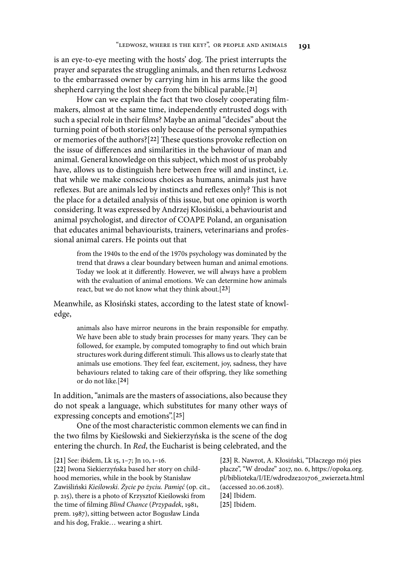is an eye-to-eye meeting with the hosts' dog. The priest interrupts the prayer and separates the struggling animals, and then returns Ledwosz to the embarrassed owner by carrying him in his arms like the good shepherd carrying the lost sheep from the biblical parable.[**21**]

How can we explain the fact that two closely cooperating filmmakers, almost at the same time, independently entrusted dogs with such a special role in their 7lms? Maybe an animal "decides" about the turning point of both stories only because of the personal sympathies or memories of the authors?<sup>[22]</sup> These questions provoke reflection on the issue of differences and similarities in the behaviour of man and animal. General knowledge on this subject, which most of us probably have, allows us to distinguish here between free will and instinct, i.e. that while we make conscious choices as humans, animals just have reflexes. But are animals led by instincts and reflexes only? This is not the place for a detailed analysis of this issue, but one opinion is worth considering. It was expressed by Andrzej Kłosiński, a behaviourist and animal psychologist, and director of COAPE Poland, an organisation that educates animal behaviourists, trainers, veterinarians and professional animal carers. He points out that

from the 1940s to the end of the 1970s psychology was dominated by the trend that draws a clear boundary between human and animal emotions. Today we look at it differently. However, we will always have a problem with the evaluation of animal emotions. We can determine how animals react, but we do not know what they think about.[**23**]

Meanwhile, as Kłosiński states, according to the latest state of knowledge,

animals also have mirror neurons in the brain responsible for empathy. We have been able to study brain processes for many years. They can be followed, for example, by computed tomography to find out which brain structures work during different stimuli. This allows us to clearly state that animals use emotions. They feel fear, excitement, joy, sadness, they have behaviours related to taking care of their offspring, they like something or do not like.[**24**]

In addition, "animals are the masters of associations, also because they do not speak a language, which substitutes for many other ways of expressing concepts and emotions".[**25**]

One of the most characteristic common elements we can find in the two 7lms by Kieślowski and Siekierzyńska is the scene of the dog entering the church. In *Red*, the Eucharist is being celebrated, and the

**[21]** See: ibidem, Lk 15, 1–7; Jn 10, 1–16. **[22]** Iwona Siekierzyńska based her story on childhood memories, while in the book by Stanisław Zawiśliński *Kie*ś*lowski.* Ż*ycie po* ż*yciu. Pami*ęć (op. cit., p. 215), there is a photo of Krzysztof Kieślowski from the time of 7lming *Blind Chance* (*Przypadek*, 1981, prem. 1987), sitting between actor Bogusław Linda and his dog, Frakie… wearing a shirt.

**[23]** R. Nawrot, A. Kłosiński, "Dlaczego mój pies płacze", "W drodze" 2017, no. 6, https://opoka.org. pl/biblioteka/I/IE/wdrodze201706\_zwierzeta.html (accessed 20.06.2018). **[24]** Ibidem. **[25]** Ibidem.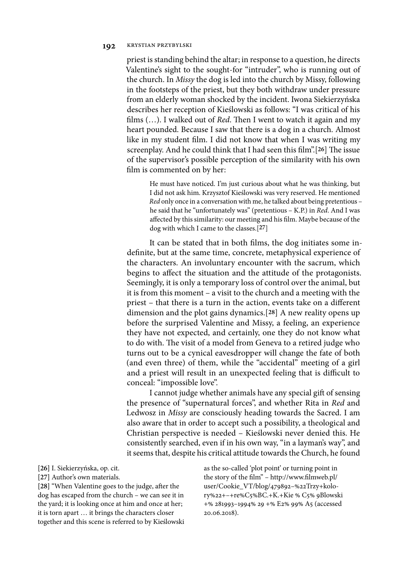priest is standing behind the altar; in response to a question, he directs Valentine's sight to the sought-for "intruder", who is running out of the church. In *Missy* the dog is led into the church by Missy, following in the footsteps of the priest, but they both withdraw under pressure from an elderly woman shocked by the incident. Iwona Siekierzyńska describes her reception of Kieślowski as follows: "I was critical of his films  $(...)$ . I walked out of *Red*. Then I went to watch it again and my heart pounded. Because I saw that there is a dog in a church. Almost like in my student film. I did not know that when I was writing my screenplay. And he could think that I had seen this film".<sup>[26]</sup> The issue of the supervisor's possible perception of the similarity with his own film is commented on by her:

He must have noticed. I'm just curious about what he was thinking, but I did not ask him. Krzysztof Kieślowski was very reserved. He mentioned *Red* only once in a conversation with me, he talked about being pretentious – he said that he "unfortunately was" (pretentious – K.P.) in *Red*. And I was affected by this similarity: our meeting and his film. Maybe because of the dog with which I came to the classes.[**27**]

It can be stated that in both films, the dog initiates some indefinite, but at the same time, concrete, metaphysical experience of the characters. An involuntary encounter with the sacrum, which begins to affect the situation and the attitude of the protagonists. Seemingly, it is only a temporary loss of control over the animal, but it is from this moment – a visit to the church and a meeting with the priest – that there is a turn in the action, events take on a different dimension and the plot gains dynamics.[**28**] A new reality opens up before the surprised Valentine and Missy, a feeling, an experience they have not expected, and certainly, one they do not know what to do with. The visit of a model from Geneva to a retired judge who turns out to be a cynical eavesdropper will change the fate of both (and even three) of them, while the "accidental" meeting of a girl and a priest will result in an unexpected feeling that is difficult to conceal: "impossible love".

I cannot judge whether animals have any special gift of sensing the presence of "supernatural forces", and whether Rita in *Red* and Ledwosz in *Missy* are consciously heading towards the Sacred. I am also aware that in order to accept such a possibility, a theological and Christian perspective is needed – Kieślowski never denied this. He consistently searched, even if in his own way, "in a layman's way", and it seems that, despite his critical attitude towards the Church, he found

[28] "When Valentine goes to the judge, after the dog has escaped from the church – we can see it in the yard; it is looking once at him and once at her; it is torn apart … it brings the characters closer together and this scene is referred to by Kieślowski as the so-called 'plot point' or turning point in the story of the film" – http://www.filmweb.pl/ user/Cookie\_VT/blog/479892–%22Trzy+kolory%22+–+re%C5%BC.+K.+Kie % C5% 9Blowski +% 281993–1994% 29 +% E2% 99% A5 (accessed 20.06.2018).

**<sup>[26]</sup>** I. Siekierzyńska, op. cit.

**<sup>[27]</sup>** Author's own materials.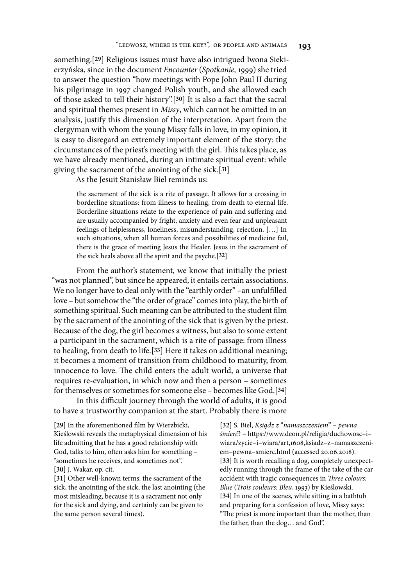something.[**29**] Religious issues must have also intrigued Iwona Siekierzyńska, since in the document *Encounter* (*Spotkanie,* 1999) she tried to answer the question "how meetings with Pope John Paul II during his pilgrimage in 1997 changed Polish youth, and she allowed each of those asked to tell their history".[**30**] It is also a fact that the sacral and spiritual themes present in *Missy*, which cannot be omitted in an analysis, justify this dimension of the interpretation. Apart from the clergyman with whom the young Missy falls in love, in my opinion, it is easy to disregard an extremely important element of the story: the circumstances of the priest's meeting with the girl. This takes place, as we have already mentioned, during an intimate spiritual event: while giving the sacrament of the anointing of the sick.[**31**]

As the Jesuit Stanisław Biel reminds us:

the sacrament of the sick is a rite of passage. It allows for a crossing in borderline situations: from illness to healing, from death to eternal life. Borderline situations relate to the experience of pain and suffering and are usually accompanied by fright, anxiety and even fear and unpleasant feelings of helplessness, loneliness, misunderstanding, rejection. […] In such situations, when all human forces and possibilities of medicine fail, there is the grace of meeting Jesus the Healer. Jesus in the sacrament of the sick heals above all the spirit and the psyche.[**32**]

From the author's statement, we know that initially the priest "was not planned", but since he appeared, it entails certain associations. We no longer have to deal only with the "earthly order" –an unfulfilled love – but somehow the "the order of grace" comes into play, the birth of something spiritual. Such meaning can be attributed to the student film by the sacrament of the anointing of the sick that is given by the priest. Because of the dog, the girl becomes a witness, but also to some extent a participant in the sacrament, which is a rite of passage: from illness to healing, from death to life.[**33**] Here it takes on additional meaning; it becomes a moment of transition from childhood to maturity, from innocence to love. The child enters the adult world, a universe that requires re-evaluation, in which now and then a person – sometimes for themselves or sometimes for someone else – becomes like God.[**34**]

In this difficult journey through the world of adults, it is good to have a trustworthy companion at the start. Probably there is more

[29] In the aforementioned film by Wierzbicki, Kieślowski reveals the metaphysical dimension of his life admitting that he has a good relationship with God, talks to him, often asks him for something – "sometimes he receives, and sometimes not". **[30]** J. Wakar, op. cit.

**[31]** Other well-known terms: the sacrament of the sick, the anointing of the sick, the last anointing (the most misleading, because it is a sacrament not only for the sick and dying, and certainly can be given to the same person several times).

**[32]** S. Biel, *Ksi*ą*dz z* "*namaszczeniem*" *– pewna*  ś*mier*ć? – https://www.deon.pl/religia/duchowosc–i– wiara/zycie–i–wiara/art,1608,ksiadz–z–namaszczeniem–pewna–smierc.html (accessed 20.06.2018). **[33]** It is worth recalling a dog, completely unexpectedly running through the frame of the take of the car accident with tragic consequences in *Three colours: Blue* (*Trois couleurs: Bleu*, 1993) by Kieślowski. **[34]** In one of the scenes, while sitting in a bathtub and preparing for a confession of love, Missy says: "The priest is more important than the mother, than the father, than the dog… and God".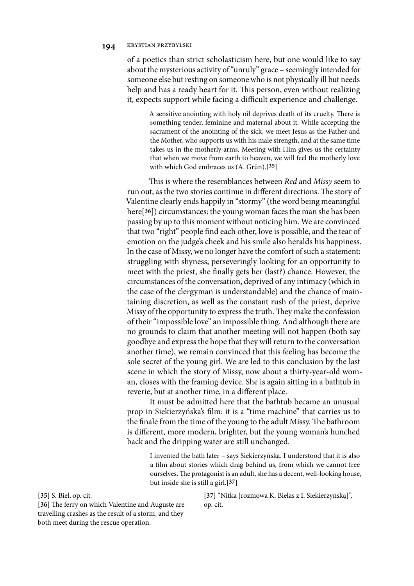of a poetics than strict scholasticism here, but one would like to say about the mysterious activity of "unruly" grace – seemingly intended for someone else but resting on someone who is not physically ill but needs help and has a ready heart for it. This person, even without realizing it, expects support while facing a difficult experience and challenge.

A sensitive anointing with holy oil deprives death of its cruelty. There is something tender, feminine and maternal about it. While accepting the sacrament of the anointing of the sick, we meet Jesus as the Father and the Mother, who supports us with his male strength, and at the same time takes us in the motherly arms. Meeting with Him gives us the certainty that when we move from earth to heaven, we will feel the motherly love with which God embraces us (A. Grün).[**35**]

This is where the resemblances between *Red* and *Missy* seem to run out, as the two stories continue in different directions. The story of Valentine clearly ends happily in "stormy" (the word being meaningful here[**36**]) circumstances: the young woman faces the man she has been passing by up to this moment without noticing him. We are convinced that two "right" people find each other, love is possible, and the tear of emotion on the judge's cheek and his smile also heralds his happiness. In the case of Missy, we no longer have the comfort of such a statement: struggling with shyness, perseveringly looking for an opportunity to meet with the priest, she finally gets her (last?) chance. However, the circumstances of the conversation, deprived of any intimacy (which in the case of the clergyman is understandable) and the chance of maintaining discretion, as well as the constant rush of the priest, deprive Missy of the opportunity to express the truth. They make the confession of their "impossible love" an impossible thing. And although there are no grounds to claim that another meeting will not happen (both say goodbye and express the hope that they will return to the conversation another time), we remain convinced that this feeling has become the sole secret of the young girl. We are led to this conclusion by the last scene in which the story of Missy, now about a thirty-year-old woman, closes with the framing device. She is again sitting in a bathtub in reverie, but at another time, in a different place.

It must be admitted here that the bathtub became an unusual prop in Siekierzyńska's 7lm: it is a "time machine" that carries us to the finale from the time of the young to the adult Missy. The bathroom is different, more modern, brighter, but the young woman's hunched back and the dripping water are still unchanged.

I invented the bath later – says Siekierzyńska. I understood that it is also a film about stories which drag behind us, from which we cannot free ourselves. The protagonist is an adult, she has a decent, well-looking house, but inside she is still a girl.[**37**]

**[35]** S. Biel, op. cit.

[36] The ferry on which Valentine and Auguste are travelling crashes as the result of a storm, and they both meet during the rescue operation.

**[37]** "Nitka [rozmowa K. Bielas z I. Siekierzyńską]", op. cit.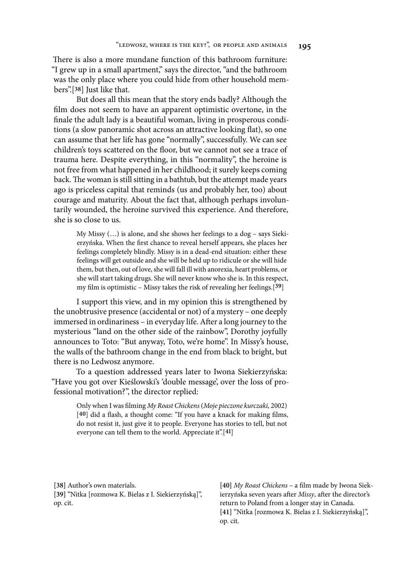There is also a more mundane function of this bathroom furniture: "I grew up in a small apartment," says the director, "and the bathroom was the only place where you could hide from other household members".[**38**] Just like that.

But does all this mean that the story ends badly? Although the film does not seem to have an apparent optimistic overtone, in the finale the adult lady is a beautiful woman, living in prosperous conditions (a slow panoramic shot across an attractive looking flat), so one can assume that her life has gone "normally", successfully. We can see children's toys scattered on the floor, but we cannot not see a trace of trauma here. Despite everything, in this "normality", the heroine is not free from what happened in her childhood; it surely keeps coming back. The woman is still sitting in a bathtub, but the attempt made years ago is priceless capital that reminds (us and probably her, too) about courage and maturity. About the fact that, although perhaps involuntarily wounded, the heroine survived this experience. And therefore, she is so close to us.

My Missy (…) is alone, and she shows her feelings to a dog – says Siekierzyńska. When the first chance to reveal herself appears, she places her feelings completely blindly. Missy is in a dead-end situation: either these feelings will get outside and she will be held up to ridicule or she will hide them, but then, out of love, she will fall ill with anorexia, heart problems, or she will start taking drugs. She will never know who she is. In this respect, my 7lm is optimistic – Missy takes the risk of revealing her feelings.[**39**]

I support this view, and in my opinion this is strengthened by the unobtrusive presence (accidental or not) of a mystery – one deeply immersed in ordinariness – in everyday life. After a long journey to the mysterious "land on the other side of the rainbow", Dorothy joyfully announces to Toto: "But anyway, Toto, we're home". In Missy's house, the walls of the bathroom change in the end from black to bright, but there is no Ledwosz anymore.

To a question addressed years later to Iwona Siekierzyńska: "Have you got over Kieślowski's 'double message', over the loss of professional motivation?", the director replied:

> Only when I was 7lming *My Roast Chickens* (*Moje pieczone kurczaki,* 2002) [40] did a flash, a thought come: "If you have a knack for making films, do not resist it, just give it to people. Everyone has stories to tell, but not everyone can tell them to the world. Appreciate it".[**41**]

**[38]** Author's own materials.

**[39]** "Nitka [rozmowa K. Bielas z I. Siekierzyńską]", op. cit.

[40] *My Roast Chickens* – a film made by Iwona Siekierzyńska seven years after Missy, after the director's return to Poland from a longer stay in Canada. **[41]** "Nitka [rozmowa K. Bielas z I. Siekierzyńską]", op. cit.